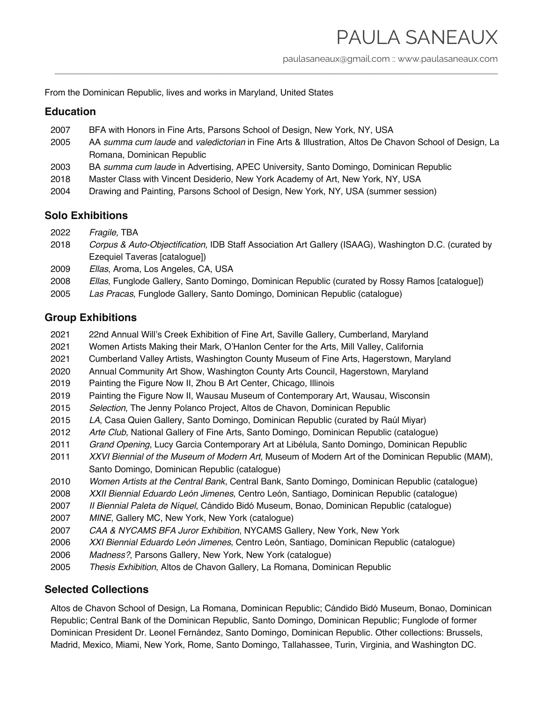paulasaneaux@gmail.com :: www.paulasaneaux.com

From the Dominican Republic, lives and works in Maryland, United States

### **Education**

- 2007 BFA with Honors in Fine Arts, Parsons School of Design, New York, NY, USA
- 2005 AA *summa cum laude* and *valedictorian* in Fine Arts & Illustration, Altos De Chavon School of Design, La Romana, Dominican Republic

\_\_\_\_\_\_\_\_\_\_\_\_\_\_\_\_\_\_\_\_\_\_\_\_\_\_\_\_\_\_\_\_\_\_\_\_\_\_\_\_\_\_\_\_\_\_\_\_\_\_\_\_\_\_\_\_\_\_\_\_\_\_\_\_\_\_\_\_\_\_\_\_\_\_\_\_\_\_\_\_\_\_\_\_\_\_\_\_\_\_\_\_\_\_\_\_\_\_\_\_

- 2003 BA *summa cum laude* in Advertising, APEC University, Santo Domingo, Dominican Republic
- 2018 Master Class with Vincent Desiderio, New York Academy of Art, New York, NY, USA
- 2004 Drawing and Painting, Parsons School of Design, New York, NY, USA (summer session)

## **Solo Exhibitions**

- 2022 *Fragile,* TBA
- 2018 *Corpus & Auto-Objectification,* IDB Staff Association Art Gallery (ISAAG), Washington D.C. (curated by Ezequiel Taveras [catalogue])
- 2009 *Ellas*, Aroma, Los Angeles, CA, USA
- 2008 *Ellas*, Funglode Gallery, Santo Domingo, Dominican Republic (curated by Rossy Ramos [catalogue])
- 2005 *Las Pracas*, Funglode Gallery, Santo Domingo, Dominican Republic (catalogue)

## **Group Exhibitions**

- 2021 22nd Annual Will's Creek Exhibition of Fine Art, Saville Gallery, Cumberland, Maryland
- 2021 Women Artists Making their Mark, O'Hanlon Center for the Arts, Mill Valley, California
- 2021 Cumberland Valley Artists, Washington County Museum of Fine Arts, Hagerstown, Maryland
- 2020 Annual Community Art Show, Washington County Arts Council, Hagerstown, Maryland
- 2019 Painting the Figure Now II, Zhou B Art Center, Chicago, Illinois
- 2019 Painting the Figure Now II, Wausau Museum of Contemporary Art, Wausau, Wisconsin
- 2015 *Selection*, The Jenny Polanco Project, Altos de Chavon, Dominican Republic
- 2015 *LA*, Casa Quien Gallery, Santo Domingo, Dominican Republic (curated by Raúl Miyar)
- 2012 *Arte Club*, National Gallery of Fine Arts, Santo Domingo, Dominican Republic (catalogue)
- 2011 *Grand Opening*, Lucy Garcia Contemporary Art at Libélula, Santo Domingo, Dominican Republic
- 2011 *XXVI Biennial of the Museum of Modern Art*, Museum of Modern Art of the Dominican Republic (MAM), Santo Domingo, Dominican Republic (catalogue)
- 2010 *Women Artists at the Central Bank*, Central Bank, Santo Domingo, Dominican Republic (catalogue)
- 2008 *XXII Biennial Eduardo León Jimenes*, Centro León, Santiago, Dominican Republic (catalogue)
- 2007 *II Biennial Paleta de Níquel*, Cándido Bidó Museum, Bonao, Dominican Republic (catalogue)
- 2007 *MINE*, Gallery MC, New York, New York (catalogue)
- 2007 *CAA & NYCAMS BFA Juror Exhibition*, NYCAMS Gallery, New York, New York
- 2006 *XXI Biennial Eduardo León Jimenes*, Centro León, Santiago, Dominican Republic (catalogue)
- 2006 *Madness?*, Parsons Gallery, New York, New York (catalogue)
- 2005 *Thesis Exhibition*, Altos de Chavon Gallery, La Romana, Dominican Republic

#### **Selected Collections**

Altos de Chavon School of Design, La Romana, Dominican Republic; Cándido Bidó Museum, Bonao, Dominican Republic; Central Bank of the Dominican Republic, Santo Domingo, Dominican Republic; Funglode of former Dominican President Dr. Leonel Fernández, Santo Domingo, Dominican Republic. Other collections: Brussels, Madrid, Mexico, Miami, New York, Rome, Santo Domingo, Tallahassee, Turin, Virginia, and Washington DC.